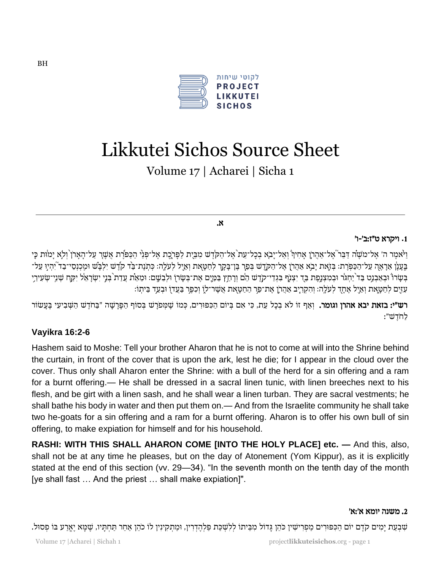

# Likkutei Sichos Source Sheet

Volume 17 | Acharei | Sicha 1

א .

# **.**1 ויקרא ט״ז : ב׳- ו׳

ַוַיֹּאמֶר ה׳ אֶל־משֶׁה דַּבֵּר אֶל־אַהֲרֹן אָחִיךָ וְאַל־יָבְא בְכָל־עֵת אֶל־הַקֹּדֶשׁ מִבֵּיִת לַפְּרְכֶה אֱל־פְּנֵי הַכַּפֹּרֶת אֲשֶׁרָ עַל־הָאָרוֹ וְלָא יָמוֹּת כָּי ָ ַבְּעֲנָן אֲרָאֶה עַל־הַכַּפְּיָת: בְּזֶאת יַבְא אַהֲרֹן אֶל־הַקְדֶשׁ בְּפַר בֵּן־בַּקָר לְחַטָּאת וְאֵיל לְעַלָה: כְּתִנֶת־בַּר קֹדֶשׁ יִלְבַּשׁ וּמֵכְנָסי־בַד ְיָהִיְוּ עַל־ בִּשָׂרוֹ וּבְאַבְנֵט בַּד<sup>י</sup>יַחְגֹּר וּבְמִצְנֶפֶת בַּד יִצְנֶֹף בִּגְדֵי־קֹדֶשׁ הֵם וְרָתַץ בַּמַּיֶם אֶת־בְּשָׂרוָ וּלְבֵשֶׁם: וּמֵאֵת עֲדַת בְּנֵי יִשְׂרָאֵל יִקַּחְ שְׁנֵי־שְׂעִירֵי ִימַר לַחֲטָאַת וְאֵיל אֲחָד לְעֹלֵה: וְהִקְרָיב אֲהַרוֹ אֶת־פַּר הַחַטָּאִת אֲשֶׁר־לוָ וִכְפֵר בַּעֲדוֹ וּבְעַד בֵּיתִוֹ

ר**ש״י: בזאת יבא אהרן וגומר.** וְאַף זוֹ לֹא בְכָל עֵת, כִּי אִם בְּיוֹם הַכִּפּוּרִים, כְּמוֹ שֶׁמְפֹרָשׁ בְּסוֹף הַפָּרָשָׁה ״בַּחֹדֶשׁ הַשְּׁבִיעִי בֶּעָשׂוֹר לַחֹדֵשׁ":

# **Vayikra 16:2-6**

Hashem said to Moshe: Tell your brother Aharon that he is not to come at will into the Shrine behind the curtain, in front of the cover that is upon the ark, lest he die; for I appear in the cloud over the cover. Thus only shall Aharon enter the Shrine: with a bull of the herd for a sin offering and a ram for a burnt offering.— He shall be dressed in a sacral linen tunic, with linen breeches next to his flesh, and be girt with a linen sash, and he shall wear a linen turban. They are sacral vestments; he shall bathe his body in water and then put them on.— And from the Israelite community he shall take two he-goats for a sin offering and a ram for a burnt offering. Aharon is to offer his own bull of sin offering, to make expiation for himself and for his household.

**RASHI: WITH THIS SHALL AHARON COME [INTO THE HOLY PLACE] etc. —** And this, also, shall not be at any time he pleases, but on the day of Atonement (Yom Kippur), as it is explicitly stated at the end of this section (vv. 29—34). "In the seventh month on the tenth day of the month [ye shall fast … And the priest … shall make expiation]".

#### .2 משנה יומא א׳: א׳

שִׁבְעַת יָמִים קֹדֶם יוֹם הַכִּפּוּרִים מַפְרִישִׁין כֹּהֵן גְּדוֹל מִבֵּיתוֹ לְלִשְׁכַּת פַּלְהֶדְרִין, וּמַתְקִינִין לוֹ כֹהֵן אַחֵר תַּחְתָּיו, שֶׁמָּא יֶאֱרַע בּוֹ פְסוּל.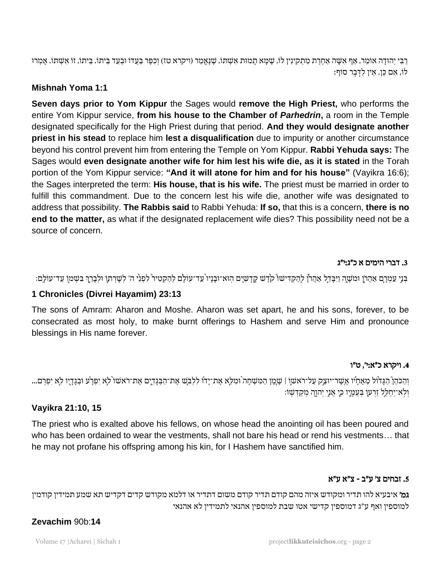ַרְבִּי יְהוּדָה אוֹמֵר, אַף אִשָּׁה אַחֶרֶת מַתְקִינִין לוֹ, שֶׁמָּא תָמוּת אִשְׁתוֹ, שֶׁנֶאֱמַר (ויקרא טז) וְכִפֶּר בַּעֲדוֹ וּבְעַד בֵּיתוֹ. דוֹ אִשְׁתוֹ. אָמְרוּ לוֹ, אם כּוּ, אין לדִבר סוֹף:

# **Mishnah Yoma 1:1**

**Seven days prior to Yom Kippur** the Sages would **remove the High Priest,** who performs the entire Yom Kippur service, **from his house to the Chamber of** *Parhedrin***,** a room in the Temple designated specifically for the High Priest during that period. **And they would designate another priest in his stead** to replace him **lest a disqualification** due to impurity or another circumstance beyond his control prevent him from entering the Temple on Yom Kippur. **Rabbi Yehuda says:** The Sages would **even designate another wife for him lest his wife die, as it is stated** in the Torah portion of the Yom Kippur service: **"And it will atone for him and for his house"** (Vayikra 16:6); the Sages interpreted the term: **His house, that is his wife.** The priest must be married in order to fulfill this commandment. Due to the concern lest his wife die, another wife was designated to address that possibility. **The Rabbis said** to Rabbi Yehuda: **If so,** that this is a concern, **there is no end to the matter,** as what if the designated replacement wife dies? This possibility need not be a source of concern.

#### .3 דברי הימים א כ״ג : י״ג

ַּבְּנֵי עַמְרָם אַהֲרֹן וּמֹשֶׁה וַיִּבְּדֵל אַהֲרֹן לְהַקְדִישׁוֹ קֹדֶשׁ קֶדָשְׁיָם הְוּא־וּבָנָיו עֵד־עוֹלָם לְהַקְטִיר לִפְנֵי ה׳ לְשָׁרְתוָ וּלְבָרֵךְ בִּשְׁמֹן עַד־עוֹלֶם: ֧֧֚֝<u>֚</u>

# **1 Chronicles (Divrei Hayamim) 23:13**

The sons of Amram: Aharon and Moshe. Aharon was set apart, he and his sons, forever, to be consecrated as most holy, to make burnt offerings to Hashem and serve Him and pronounce blessings in His name forever.

#### .4 ויקרא כ״א : י׳ , ט"ו

וְהַכֹּהֵןْ הַגָּדוֹל מֵאֶחָיו אֲשֶר־יוּצַק עַל־רֹאשׁוֹ | שָׁמֶן הַמִּשְׁחָה וּמִלֵא אֶת־יָדוֹ לִלְבֹּשׁ אֶת־הַבְּגָדְיֶם אֶת־רֹאשׁוֹ לְא יִפְּרָע וּבְגָדָיו לִא יִפְרֹם... וִלְא־יִחַלֵּל זַרְעוֹ בְּעֲמַיֶו כְּיָ אֲנֵי יְהוַה מְקַדְּשָׁוֹ:

# **Vayikra 21:10, 15**

The priest who is exalted above his fellows, on whose head the anointing oil has been poured and who has been ordained to wear the vestments, shall not bare his head or rend his vestments… that he may not profane his offspring among his kin, for I Hashem have sanctified him.

# .5 זבחים צ׳ ע"ב - צ"א ע"א

גמ׳ איבעיא להו תדיר ומקודש איזה מהם קודם תדיר קודם משום דתדיר או דלמא מקודש קדים דקדיש תא שמע תמידין קודמין למוספין ואף ע"ג דמוספין קדישי אטו שבת למוספין אהנאי לתמידין לא אהנאי

# **Zevachim** 90b:**14**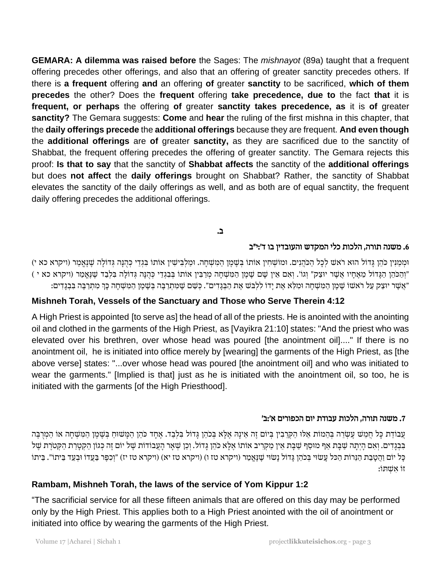**GEMARA: A dilemma was raised before** the Sages: The *mishnayot* (89a) taught that a frequent offering precedes other offerings, and also that an offering of greater sanctity precedes others. If there is **a frequent** offering **and** an offering **of** greater **sanctity** to be sacrificed, **which of them precedes** the other? Does the **frequent** offering **take precedence, due to** the fact **that** it is **frequent, or perhaps** the offering **of** greater **sanctity takes precedence, as** it is **of** greater **sanctity?** The Gemara suggests: **Come** and **hear** the ruling of the first mishna in this chapter, that the **daily offerings precede** the **additional offerings** because they are frequent. **And even though** the **additional offerings** are **of** greater **sanctity,** as they are sacrificed due to the sanctity of Shabbat, the frequent offering precedes the offering of greater sanctity. The Gemara rejects this proof: **Is that to say** that the sanctity of **Shabbat affects** the sanctity of the **additional offerings** but does **not affect** the **daily offerings** brought on Shabbat? Rather, the sanctity of Shabbat elevates the sanctity of the daily offerings as well, and as both are of equal sanctity, the frequent daily offering precedes the additional offerings.

# ב.

#### .6 משנה תורה , הלכות כלי המקדש והעובדין בו ד׳ : י״ב

וּמְמַנִּין כֹּהֵן גָּדוֹל הוּא רֹאשׁ לְכָל הַכֹּהֲנִים. וּמוֹשְׁחִין אוֹתוֹ בְּשֶׁמֶן הַמִּשְׁחָה. וּמַלְבִּישִׁין אוֹתוֹ בִּגְדֵי כְּהֻנָּה גְּדוֹלָה שֶׁנֶאֱמַר (ויקרא כא י) יִוְהַכֹּהֵן הַגָּדוֹל מֵאֶחָיו אֲשֶׁר יוּצַק" וְגוֹ׳. וְאִם אֵין שָׁם שֶׁמֶן הַמִּשְׁחָה מְרַבִּין אוֹתוֹ בְּבִגְדֵי כְּהֻנָּה גְּדוֹלָה בִּלְבַד שֶׁנֶאֱמַר (ויקרא כא י ) ״אֲשֶר יוּצַק עַל רֹאשׁוֹ שֶׁמֶן הַמִּשְׁחָה וּמִלֵּא אֶת יָדוֹ לִלְבּשׁ אֶת הַבְּגָדִים". כְּשֵׁם שָׁמִּתְרַבָּה בְּשָׁמֶן הַמִּשְׁחָה כָּךְ מִתְרַבֶּה בִּבְגָדִים: ׇׅ֧֧֓<u>֓</u>

#### **Mishneh Torah, Vessels of the Sanctuary and Those who Serve Therein 4:12**

A High Priest is appointed [to serve as] the head of all of the priests. He is anointed with the anointing oil and clothed in the garments of the High Priest, as [Vayikra 21:10] states: "And the priest who was elevated over his brethren, over whose head was poured [the anointment oil]...." If there is no anointment oil, he is initiated into office merely by [wearing] the garments of the High Priest, as [the above verse] states: "...over whose head was poured [the anointment oil] and who was initiated to wear the garments." [Implied is that] just as he is initiated with the anointment oil, so too, he is initiated with the garments [of the High Priesthood].

#### .7 משנה תורה , הלכות עבודת יום הכפורים א׳ :ב׳

עֲבוֹדַת כָּל חֲמֵשׁ עֶשְׂרֵה בְּהֵמוֹת אֵלּוּ הַקְרֵבִין בְּיוֹם זֶה אֵינָהּ אֶלָּא בְּכֹהֵן גָּדוֹל בִּלְבַד. אֶחָד כֹּהֵן הַמְּשׁוּחַ בְּשֶׁמֶן הַמִּשְׁחָה אוֹ הַמְרֻבָּה בִּבְדִים. וְאִם הָיְתָה שַׁבָּת אַף מוּסַף שַׁבָּת אֵין מַקְרִיב אוֹתוֹ אֶלָא כֹּהֵן גָּדוֹל. וְכֵן שְׁאָר הָעֲבוֹדוֹת שָׁל יוֹם זֶה כְּגוֹן הַקְטָרַת הַקְטֹרֶת שָׁל ֹּכָּל יוֹם וַהֲטָבַת הַגֵּרוֹת הַכּל עָשׂוּי בְּכֹהֵן גְּדוֹל נָשׂוּי שֶׁנֶאֱמַר (ויקרא טז ו) (ויקרא טז יא) (ויקרא טז יז) "וְכִפֶּר בַּעֲדוֹ וּבְעַד בֵּיתוֹ". בֵּיתוֹ זו ִא ְש ת ו:

#### **Rambam, Mishneh Torah, the laws of the service of Yom Kippur 1:2**

"The sacrificial service for all these fifteen animals that are offered on this day may be performed only by the High Priest. This applies both to a High Priest anointed with the oil of anointment or initiated into office by wearing the garments of the High Priest.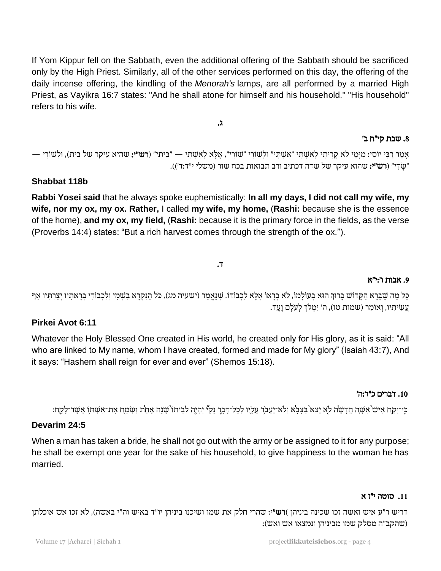If Yom Kippur fell on the Sabbath, even the additional offering of the Sabbath should be sacrificed only by the High Priest. Similarly, all of the other services performed on this day, the offering of the daily incense offering, the kindling of the *Menorah's* lamps, are all performed by a married High Priest, as Vayikra 16:7 states: "And he shall atone for himself and his household." "His household" refers to his wife.

אַמַר רַבְּי יוֹסֵי: מִיַּמַי לֹא קַרִיתִי לְאִשָׁתְּי "אִשְׁתְּי" וּלְשׁוֹרִי "שׁוֹרִי", אֵלֵא לְאִשְׁתִּי — "בֵּיתִי" (**רש"י:** שהיא עיקר של בית), וּלְשׁוֹרִי — "שַׂדִי" (רש"י: שהוא עיקר של שדה דכתיב ורב תבואות בכח שור (משלי י"ד:ד')).

ג.

# **Shabbat 118b**

**Rabbi Yosei said** that he always spoke euphemistically: **In all my days, I did not call my wife, my wife, nor my ox, my ox. Rather,** I called **my wife, my home,** (**Rashi:** because she is the essence of the home), **and my ox, my field,** (**Rashi:** because it is the primary force in the fields, as the verse (Proverbs 14:4) states: "But a rich harvest comes through the strength of the ox.").

# ד.

# .9 אבות ו׳ : י״א

ָכָּל מַה שֶׁבָּרָא הַקָּדוֹשׁ בָּרוּךְ הוּא בְּעוֹלָמוֹ, לֹא בְרָאוֹ אֶלָּא לִכְבוֹדוֹ, שֶׁנֶאֱמַר (ישעיה מג), כֹּל הַנִּקְרָא בִשְׁמִי וְלִכְבוֹדִי בְּרָאתִיו יְצַרְתִּיו אַף ְ ְעֲשִׂיתִיו, וְאוֹמֵר (שמות טו), ה' יִמְלֹךְ לְעֹלָם וָעֶד. ֧֧֧֦֧֚֝֝<u>֚</u>

# **Pirkei Avot 6:11**

Whatever the Holy Blessed One created in His world, he created only for His glory, as it is said: "All who are linked to My name, whom I have created, formed and made for My glory" (Isaiah 43:7), And it says: "Hashem shall reign for ever and ever" (Shemos 15:18).

#### .10 דברים כ״ד: ה׳

ּבִּי־יַקַּח אִישׁ`אִשָּׁה חֲדָשָׂה לָא יֵצֵא`בַּצָּבָא וְלֹא־יַעֲבֹר עָלָיו לְכָל־דָּבֶר נָקִיٞ יִהְיֶה לְבֵיתוֹ`שָׁנָה אֶחָת וְשִׂמַּח אֶת־אִשְׁתוִ אֲשֶׁר־לָקֶח:

#### **Devarim 24:5**

When a man has taken a bride, he shall not go out with the army or be assigned to it for any purpose; he shall be exempt one year for the sake of his household, to give happiness to the woman he has married.

#### .11 סוטה י״ז א

דריש ר"ע איש ואשה זכו שכינה ביניהן )**רש"**י: שהרי חלק את שמו ושיכנו ביניהן יו"ד באיש וה"י באשה), לא זכו אש אוכלתן )שהקב" ה מסלק שמו מביניהן ונמצאו אש ואש(:

# .8 שבת קי״ח ב '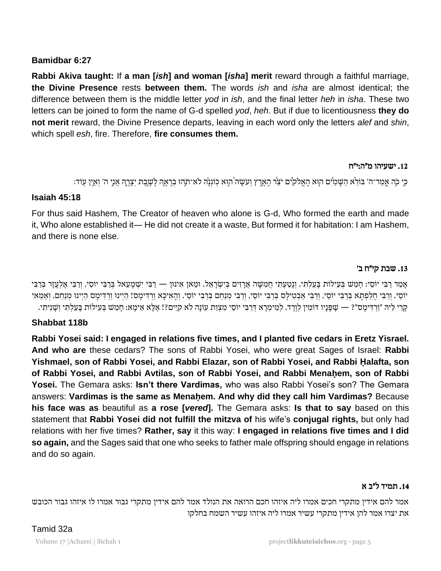# **Bamidbar 6:27**

**Rabbi Akiva taught:** If **a man [***ish***] and woman [***isha***] merit** reward through a faithful marriage, **the Divine Presence** rests **between them.** The words *ish* and *isha* are almost identical; the difference between them is the middle letter *yod* in *ish*, and the final letter *heh* in *isha*. These two letters can be joined to form the name of G-d spelled *yod*, *heh*. But if due to licentiousness **they do not merit** reward, the Divine Presence departs, leaving in each word only the letters *alef* and *shin*, which spell *esh*, fire. Therefore, **fire consumes them.**

#### .12 ישעיהו מ״ה : י״ח

ָּה הַ אֲמַר־ה' בּוֹרֵא הַשָּׁמַיִּם הְוָא הָאֱלֹקִים יֹצֵר הָאָרֶץ וְעֹשָׂה הְוָּא כְוֹנְנָה לֹא־תְהוּ בִרָאָהְ לָשֶׁבֶת יִצָרֶהְ אֲנִי ה' וְאֵין עָוֹד:

# **Isaiah 45:18**

For thus said Hashem, The Creator of heaven who alone is G-d, Who formed the earth and made it, Who alone established it— He did not create it a waste, But formed it for habitation: I am Hashem, and there is none else.

# .13 שבת קי״ח ב '

ָאָמַר רַבִּי יוֹסֵי: חַמֶּשׁ בִּעָילוֹת בַּעֲלִתְּי, וְנַטַעְתִּי חֲמִשָּׁה אֲרָזִים בְּיָשְׂרָאֵל. וּמַאן אִינּוּן — רַבִּי יִשְׁמַעֵאל בְּרַבִּי יוֹסֵי, וְרַבִּי אֵלְעָזַר בְּרַבִּי יוֹסֵי, וְרַבִּי חַלַפְתָּא בְּרַבִּי יוֹסֵי, וְרַבִּי אֲבְטִילַס בְּרַבִּי יוֹסֵי, וְרַבִּי כִּי יוֹסֵי. וְהָאִיכָּא וַרְדִימַס! הַיִּינוּ מַנַחֲם, וְאַמֵּאי ָקְרֵי לֵיה ״וַרְדִימָס״? — שַׁפָּנָיו דוֹמִין לִוֶרֶד. לִמֵימִרָא דְּרַבִּי יוֹסֵי מִצְוַת עוֹנָה לֹא קִיֵּים?! אֶלָּא אֵימָא: חָמֵשׁ בִּעִילוֹת בָּעַלִתְי וְשָׁנִיתִי.

# **Shabbat 118b**

**Rabbi Yosei said: I engaged in relations five times, and I planted five cedars in Eretz Yisrael. And who are** these cedars? The sons of Rabbi Yosei, who were great Sages of Israel: **Rabbi Yishmael, son of Rabbi Yosei, and Rabbi Elazar, son of Rabbi Yosei, and Rabbi Ḥalafta, son**  of Rabbi Yosei, and Rabbi Avtilas, son of Rabbi Yosei, and Rabbi Menahem, son of Rabbi **Yosei.** The Gemara asks: **Isn't there Vardimas,** who was also Rabbi Yosei's son? The Gemara answers: **Vardimas is the same as Menaḥem. And why did they call him Vardimas?** Because **his face was as** beautiful as **a rose [***vered***].** The Gemara asks: **Is that to say** based on this statement that **Rabbi Yosei did not fulfill the mitzva of** his wife's **conjugal rights,** but only had relations with her five times? **Rather, say** it this way: **I engaged in relations five times and I did so again,** and the Sages said that one who seeks to father male offspring should engage in relations and do so again.

# .14 תמיד ל״ב א

אמר להם אידין מתקרי חכים אמרו ליה איזהו חכם הרואה את הנולד אמר להם אידין מתקרי גבור אמרו לו איזהו גבור הכובש את יצרו אמר להן אידין מתקרי עשיר אמרו ליה איזהו עשיר השמח בחלקו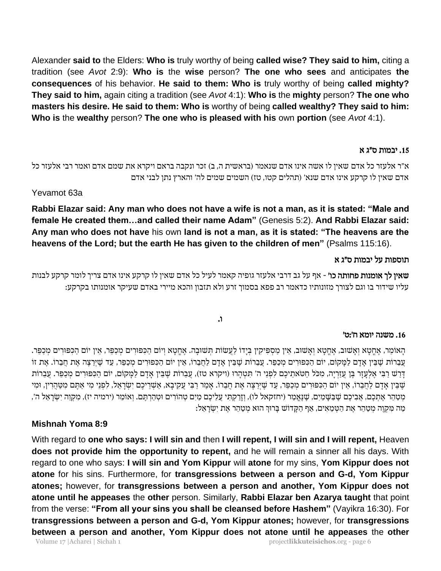Alexander **said to** the Elders: **Who is** truly worthy of being **called wise? They said to him,** citing a tradition (see *Avot* 2:9): **Who is** the **wise** person? **The one who sees** and anticipates **the consequences** of his behavior. **He said to them: Who is** truly worthy of being **called mighty? They said to him,** again citing a tradition (see *Avot* 4:1): **Who is** the **mighty** person? **The one who masters his desire. He said to them: Who is** worthy of being **called wealthy? They said to him: Who is** the **wealthy** person? **The one who is pleased with his** own **portion** (see *Avot* 4:1).

#### .15 יבמות ס״ג א

א"ר אלעזר כל אדם שאין לו אשה אינו אדם שנאמר (בראשית ה, ב) זכר ונקבה בראם ויקרא את שמם אדם ואמר רבי אלעזר כל אדם שאין לו קרקע אינו אדם שנא' (תהלים קטו, טז) השמים שמים לה' והארץ נתן לבני אדם

Yevamot 63a

**Rabbi Elazar said: Any man who does not have a wife is not a man, as it is stated: "Male and female He created them…and called their name Adam"** (Genesis 5:2). **And Rabbi Elazar said: Any man who does not have** his own **land is not a man, as it is stated: "The heavens are the heavens of the Lord; but the earth He has given to the children of men"** (Psalms 115:16).

#### תוספות על יבמות ס״ג א

שאין לך אומנות פחותה כו' - אף על גב דרבי אלעזר גופיה קאמר לעיל כל אדם שאין לו קרקע אינו אדם צריך לומר קרקע לבנות עליו שידור בו וגם לצורך מזונותיו כדאמר רב פפא בסמוך זרע ולא תזבון והכא מיירי באדם שעיקר אומנותו בקרקע:

ו.

#### .16 משנה יומא ח׳ : ט׳

ָּהָאוֹמֵר, אֶחֱטָא וְאָשׁוּב, אֶחֱטָא וְאָשׁוּב, אֵין מַסְפִּיקִין בְּיָדוֹ לַעֲשׂוֹת תְּשׁוּבָה. אֶחֱטָא וְיוֹם הַכִּפּוּרִים מַכַּפּוּרִים מְכַפּוּרִים מְכַפּוּרִים מְכַפּוּרִים מְ עֲבֵרוֹת שֶׁבִּין אָדָם לַמָּקוֹם, יוֹם הַכִּפּוּרִים מְכַפֵּר. עֲבֵרוֹת שֶׁבֵּין אָדָם לַחֲבֵרוֹ, אֵין יוֹם הַכִּפּוּרִים מְכַפֵּר, עַד שֶׁיְרַצֶה אֶת חֲבֵרוֹ. אֶת זוֹ דְרַשׁ רַבִּי אֶלְעָזֶר בֶּן עֲזַרְיָה, מִכֹּל חַטֹּאתֵיכֶם לִפְנֵי ה' תִּטְהָרוּ (ויקרא טז), עֲבֵרוֹת שֶׁבֵּין אָדָם לַמָּקוֹם, יוֹם הַכִּפּוּרִים מְכַפֵּר. עֲבֵרוֹת ּשֶׁבֵּין אָדָם לַחֲבֵרוֹ, אֵין יוֹם הַכִּפּוּרִים מְכַפֵּר, עַד שָׁיְרַצָּה אֶת חֲבֵרוֹ. אָמַר רַבִּי עֲקִיבָא, אַשְׁרֵיכֶם יִשְׂרָאֵל, לִפְנֵי מִי אַתֶּם מִטַּהֲרִין, וּמִי ָמְטַּהֵר אֶתְכֶם, אֲבִיכֶם שֶׁבַּשָּׁמַיִם, שֶׁנֵּאֲמַר (יחזקאל לו), וְזַרַקְתִּי עֲלֵיכֶם מַיִם טְהוֹרִים וּטְהַרְתֶּם. וְאוֹמֶר (ירמיה יז), מְקֶוֶה יְשָׂרָאֵל ה', ַמַּה מִּקְוֶה מְטַהֵּר אֶת הַטְּמֵאִים, אַף הַקָּדוֹשׁ בָּרוּךְ הוּא מְטַהֵר אֶת יִשְׂרָאֵל: ֧֧֦֧֚֝֝<u>֓</u>

# **Mishnah Yoma 8:9**

With regard to **one who says: I will sin and** then **I will repent, I will sin and I will repent,** Heaven **does not provide him the opportunity to repent,** and he will remain a sinner all his days. With regard to one who says: **I will sin and Yom Kippur** will **atone** for my sins, **Yom Kippur does not atone** for his sins. Furthermore, for **transgressions between a person and G-d, Yom Kippur atones;** however, for **transgressions between a person and another, Yom Kippur does not atone until he appeases** the **other** person. Similarly, **Rabbi Elazar ben Azarya taught** that point from the verse: **"From all your sins you shall be cleansed before Hashem"** (Vayikra 16:30). For **transgressions between a person and G-d, Yom Kippur atones;** however, for **transgressions between a person and another, Yom Kippur does not atone until he appeases** the **other**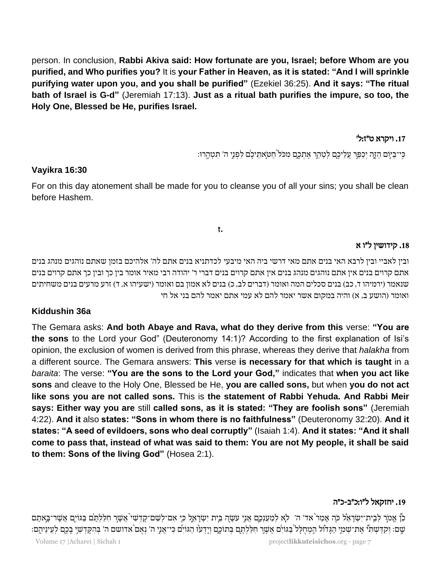person. In conclusion, **Rabbi Akiva said: How fortunate are you, Israel; before Whom are you purified, and Who purifies you?** It is **your Father in Heaven, as it is stated: "And I will sprinkle purifying water upon you, and you shall be purified"** (Ezekiel 36:25). **And it says: "The ritual bath of Israel is G-d"** (Jeremiah 17:13). **Just as a ritual bath purifies the impure, so too, the Holy One, Blessed be He, purifies Israel.**

# .17 ויקרא ט״ז : ל׳

ַכֵּי־בַיִּוֹם הָזֶה יִכַּפֵּר עֲלֵיכֶם לִטָּהֵר אֲתִכֶם מְכֹּל תַּטְאָתֵיכֶם לִפְּנֵי ה' תִּטְהֵרוּ:

#### **Vayikra 16:30**

For on this day atonement shall be made for you to cleanse you of all your sins; you shall be clean before Hashem.

#### **.**ז

#### .18 קידושין ל״ו א

ובין לאביי ובין לרבא האי בני ם אתם מאי דרשי ביה האי מיבעי לכדתניא בנים אתם לה' אלהיכם בזמן שאתם נוהגים מנהג בנים אתם קרוים בנים אין אתם נוהגים מנהג בנים אין אתם קרוים בנים דברי ר' יהודה רבי מאיר אומר בין כך ובין כך אתם קרוים בנים שנאמר (ירמיהו ד, כב) בנים סכלים המה ואומר (דברים לב, כ) בנים לא אמון בם ואומר (ישעיהו א, ד) זרע מרעים בנים משחיתים ואומר (הושע ב, א) והיה במקום אשר יאמר להם לא עמי אתם יאמר להם בני אל חי

# **Kiddushin 36a**

The Gemara asks: **And both Abaye and Rava, what do they derive from this** verse: **"You are the sons** to the Lord your God" (Deuteronomy 14:1)? According to the first explanation of Isi's opinion, the exclusion of women is derived from this phrase, whereas they derive that *halakha* from a different source. The Gemara answers: **This** verse **is necessary for that which is taught** in a *baraita*: The verse: **"You are the sons to the Lord your God,"** indicates that **when you act like sons** and cleave to the Holy One, Blessed be He, **you are called sons,** but when **you do not act like sons you are not called sons.** This is **the statement of Rabbi Yehuda. And Rabbi Meir says: Either way you are** still **called sons, as it is stated: "They are foolish sons"** (Jeremiah 4:22). **And it** also **states: "Sons in whom there is no faithfulness"** (Deuteronomy 32:20). **And it states: "A seed of evildoers, sons who deal corruptly"** (Isaiah 1:4). **And it states: "And it shall come to pass that, instead of what was said to them: You are not My people, it shall be said to them: Sons of the living God"** (Hosea 2:1).

# 19. יחזקאל ל״ו:כ״ב-כ״ה

ֶּבֶּן אֱמֹר לְבֵית־ִישְׂרָאֵל כֹּה אֲמַר ֹאד׳ ה׳ לִא לְמַעַנְכֶם אֲנִי עֹשָׂה בֵּית יְשְׂרָאֵל כִּי אִם־לְשֶׁם־קַדְשִׁי אֲשֶׁר חִלַּלְתֵּם בַּגּוֹיָם אֲשֶׁר־בַּאתֵם ַּיָּה וַקְדַּשְׁתְּ' אֶת־שָׁמְי הַגַּדוֹל הַמְחִלַּל בַּגּוֹיִם אֲשֶׁר חִלַּלְתֶּם בְּתוֹכֵם וְיַדְעוּ הַגּוֹיִם כִּי־אֲנֵי ה' נָאִם אדושם ה' בְּהֵקַדְשָׁי בָכֶם לְעֵינֵיהֶם: